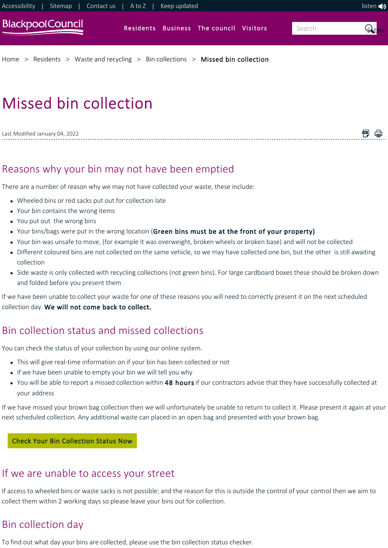

闸 倡

# Missed bin collection

Last Modified January 04, 2022

# <span id="page-0-0"></span>Reasons why your bin may not have been emptied

There are a number of reason why we may not have collected your waste, these include:

- Wheeled bins or red sacks put out for collection late
- Your bin contains the wrong items
- You put out the wrong bins
- Your bins/bags were put in the wrong location (Green bins must be at the front of your property)
- Your bin was unsafe to move, (for example it was overweight, broken wheels or broken base) and will not be collected
- Different coloured bins are not collected on the same vehicle, so we may have collected one bin, but the other is still awaiting collection
- Side waste is only collected with recycling collections (not green bins). For large cardboard boxes these should be broken down and folded before you present them

If we have been unable to collect your waste for one of these reasons you will need to correctly present it on the next scheduled collection day. We will not come back to collect.

# Bin collection status and missed collections

You can check the status of your collection by using our online system.

- This will give real-time information on if your bin has been collected or not
- If we have been unable to empty your bin we will tell you why
- You will be able to report a missed collection within 48 hours if our contractors advise that they have successfully collected at your address

If we have missed your brown bag collection then we will unfortunately be unable to return to collect it. Please present it again at your next scheduled collection. Any additional waste can placed in an open bag and presented with your brown bag.

#### Check Your Bin Collection Status Now

## If we are unable to access your street

If access to wheeled bins or waste sacks is not possible; and the reason for this is outside the control of your control then we aim to collect them within 2 working days so please leave your bins out for collection.

# Bin collection day

To find out what day your bins are collected, please use the bin collection status checker.